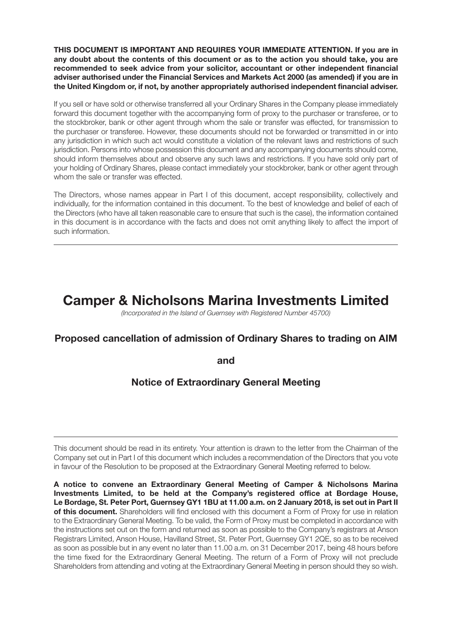**THIS DOCUMENT IS IMPORTANT AND REQUIRES YOUR IMMEDIATE ATTENTION. If you are in any doubt about the contents of this document or as to the action you should take, you are recommended to seek advice from your solicitor, accountant or other independent financial adviser authorised under the Financial Services and Markets Act 2000 (as amended) if you are in the United Kingdom or, if not, by another appropriately authorised independent financial adviser.**

If you sell or have sold or otherwise transferred all your Ordinary Shares in the Company please immediately forward this document together with the accompanying form of proxy to the purchaser or transferee, or to the stockbroker, bank or other agent through whom the sale or transfer was effected, for transmission to the purchaser or transferee. However, these documents should not be forwarded or transmitted in or into any jurisdiction in which such act would constitute a violation of the relevant laws and restrictions of such jurisdiction. Persons into whose possession this document and any accompanying documents should come, should inform themselves about and observe any such laws and restrictions. If you have sold only part of your holding of Ordinary Shares, please contact immediately your stockbroker, bank or other agent through whom the sale or transfer was effected.

The Directors, whose names appear in Part I of this document, accept responsibility, collectively and individually, for the information contained in this document. To the best of knowledge and belief of each of the Directors (who have all taken reasonable care to ensure that such is the case), the information contained in this document is in accordance with the facts and does not omit anything likely to affect the import of such information.

# **Camper & Nicholsons Marina Investments Limited**

*(Incorporated in the Island of Guernsey with Registered Number 45700)*

## **Proposed cancellation of admission of Ordinary Shares to trading on AIM**

**and**

## **Notice of Extraordinary General Meeting**

This document should be read in its entirety. Your attention is drawn to the letter from the Chairman of the Company set out in Part I of this document which includes a recommendation of the Directors that you vote in favour of the Resolution to be proposed at the Extraordinary General Meeting referred to below.

**A notice to convene an Extraordinary General Meeting of Camper & Nicholsons Marina Investments Limited, to be held at the Company's registered office at Bordage House,** Le Bordage, St. Peter Port, Guernsey GY1 1BU at 11.00 a.m. on 2 January 2018, is set out in Part II **of this document.** Shareholders will find enclosed with this document a Form of Proxy for use in relation to the Extraordinary General Meeting. To be valid, the Form of Proxy must be completed in accordance with the instructions set out on the form and returned as soon as possible to the Company's registrars at Anson Registrars Limited, Anson House, Havilland Street, St. Peter Port, Guernsey GY1 2QE, so as to be received as soon as possible but in any event no later than 11.00 a.m. on 31 December 2017, being 48 hours before the time fixed for the Extraordinary General Meeting. The return of a Form of Proxy will not preclude Shareholders from attending and voting at the Extraordinary General Meeting in person should they so wish.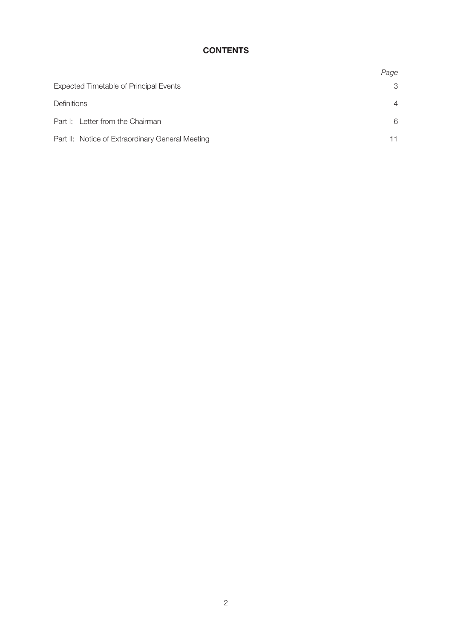## **CONTENTS**

|                                                  | Page           |
|--------------------------------------------------|----------------|
| <b>Expected Timetable of Principal Events</b>    | 3              |
| Definitions                                      | $\overline{4}$ |
| Part I: Letter from the Chairman                 | 6              |
| Part II: Notice of Extraordinary General Meeting | 11             |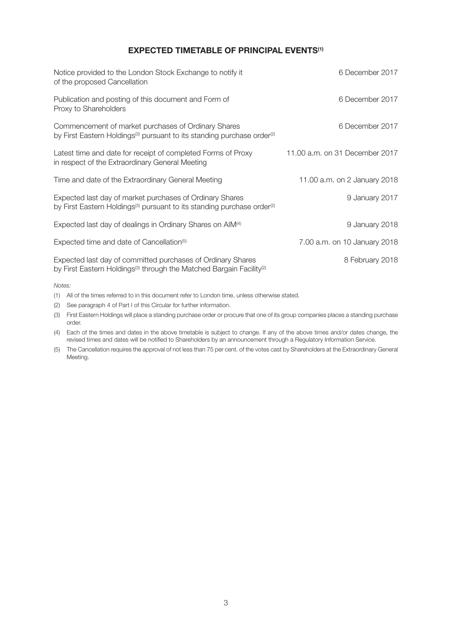### **EXPECTED TIMETABLE OF PRINCIPAL EVENTS(1)**

| Notice provided to the London Stock Exchange to notify it<br>of the proposed Cancellation                                                                   | 6 December 2017                |
|-------------------------------------------------------------------------------------------------------------------------------------------------------------|--------------------------------|
| Publication and posting of this document and Form of<br>Proxy to Shareholders                                                                               | 6 December 2017                |
| Commencement of market purchases of Ordinary Shares<br>by First Eastern Holdings <sup>(3)</sup> pursuant to its standing purchase order <sup>(2)</sup>      | 6 December 2017                |
| Latest time and date for receipt of completed Forms of Proxy<br>in respect of the Extraordinary General Meeting                                             | 11.00 a.m. on 31 December 2017 |
| Time and date of the Extraordinary General Meeting                                                                                                          | 11.00 a.m. on 2 January 2018   |
| Expected last day of market purchases of Ordinary Shares<br>by First Eastern Holdings <sup>(3)</sup> pursuant to its standing purchase order <sup>(2)</sup> | 9 January 2017                 |
| Expected last day of dealings in Ordinary Shares on AIM <sup>(4)</sup>                                                                                      | 9 January 2018                 |
| Expected time and date of Cancellation <sup>(5)</sup>                                                                                                       | 7.00 a.m. on 10 January 2018   |
| Expected last day of committed purchases of Ordinary Shares<br>by First Eastern Holdings <sup>(3)</sup> through the Matched Bargain Facility <sup>(2)</sup> | 8 February 2018                |

*Notes:*

(1) All of the times referred to in this document refer to London time, unless otherwise stated.

(2) See paragraph 4 of Part I of this Circular for further information.

(3) First Eastern Holdings will place a standing purchase order or procure that one of its group companies places a standing purchase order.

(4) Each of the times and dates in the above timetable is subject to change. If any of the above times and/or dates change, the revised times and dates will be notified to Shareholders by an announcement through a Regulatory Information Service.

(5) The Cancellation requires the approval of not less than 75 per cent. of the votes cast by Shareholders at the Extraordinary General Meeting.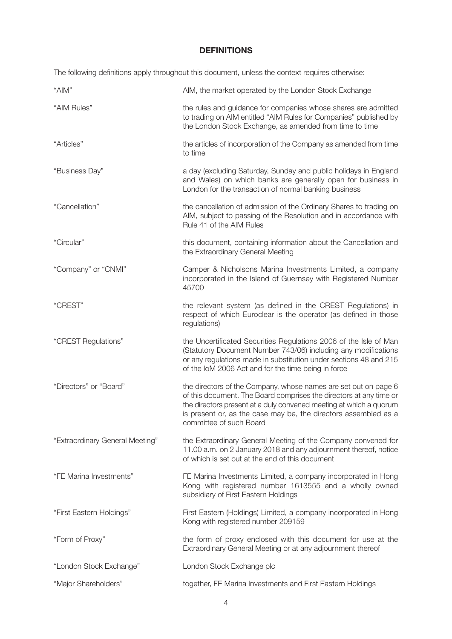### **DEFINITIONS**

The following definitions apply throughout this document, unless the context requires otherwise:

| "AIM"                           | AIM, the market operated by the London Stock Exchange                                                                                                                                                                                                                                                     |
|---------------------------------|-----------------------------------------------------------------------------------------------------------------------------------------------------------------------------------------------------------------------------------------------------------------------------------------------------------|
| "AIM Rules"                     | the rules and guidance for companies whose shares are admitted<br>to trading on AIM entitled "AIM Rules for Companies" published by<br>the London Stock Exchange, as amended from time to time                                                                                                            |
| "Articles"                      | the articles of incorporation of the Company as amended from time<br>to time                                                                                                                                                                                                                              |
| "Business Day"                  | a day (excluding Saturday, Sunday and public holidays in England<br>and Wales) on which banks are generally open for business in<br>London for the transaction of normal banking business                                                                                                                 |
| "Cancellation"                  | the cancellation of admission of the Ordinary Shares to trading on<br>AIM, subject to passing of the Resolution and in accordance with<br>Rule 41 of the AIM Rules                                                                                                                                        |
| "Circular"                      | this document, containing information about the Cancellation and<br>the Extraordinary General Meeting                                                                                                                                                                                                     |
| "Company" or "CNMI"             | Camper & Nicholsons Marina Investments Limited, a company<br>incorporated in the Island of Guernsey with Registered Number<br>45700                                                                                                                                                                       |
| "CREST"                         | the relevant system (as defined in the CREST Regulations) in<br>respect of which Euroclear is the operator (as defined in those<br>regulations)                                                                                                                                                           |
| "CREST Regulations"             | the Uncertificated Securities Regulations 2006 of the Isle of Man<br>(Statutory Document Number 743/06) including any modifications<br>or any regulations made in substitution under sections 48 and 215<br>of the IoM 2006 Act and for the time being in force                                           |
| "Directors" or "Board"          | the directors of the Company, whose names are set out on page 6<br>of this document. The Board comprises the directors at any time or<br>the directors present at a duly convened meeting at which a quorum<br>is present or, as the case may be, the directors assembled as a<br>committee of such Board |
| "Extraordinary General Meeting" | the Extraordinary General Meeting of the Company convened for<br>11.00 a.m. on 2 January 2018 and any adjournment thereof, notice<br>of which is set out at the end of this document                                                                                                                      |
| "FE Marina Investments"         | FE Marina Investments Limited, a company incorporated in Hong<br>Kong with registered number 1613555 and a wholly owned<br>subsidiary of First Eastern Holdings                                                                                                                                           |
| "First Eastern Holdings"        | First Eastern (Holdings) Limited, a company incorporated in Hong<br>Kong with registered number 209159                                                                                                                                                                                                    |
| "Form of Proxy"                 | the form of proxy enclosed with this document for use at the<br>Extraordinary General Meeting or at any adjournment thereof                                                                                                                                                                               |
| "London Stock Exchange"         | London Stock Exchange plc                                                                                                                                                                                                                                                                                 |
| "Major Shareholders"            | together, FE Marina Investments and First Eastern Holdings                                                                                                                                                                                                                                                |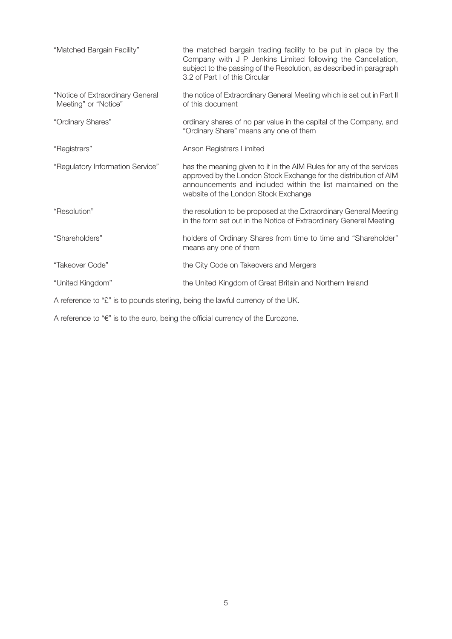| "Matched Bargain Facility"                                                     | the matched bargain trading facility to be put in place by the<br>Company with J P Jenkins Limited following the Cancellation,<br>subject to the passing of the Resolution, as described in paragraph<br>3.2 of Part I of this Circular           |
|--------------------------------------------------------------------------------|---------------------------------------------------------------------------------------------------------------------------------------------------------------------------------------------------------------------------------------------------|
| "Notice of Extraordinary General<br>Meeting" or "Notice"                       | the notice of Extraordinary General Meeting which is set out in Part II<br>of this document                                                                                                                                                       |
| "Ordinary Shares"                                                              | ordinary shares of no par value in the capital of the Company, and<br>"Ordinary Share" means any one of them                                                                                                                                      |
| "Registrars"                                                                   | Anson Registrars Limited                                                                                                                                                                                                                          |
| "Regulatory Information Service"                                               | has the meaning given to it in the AIM Rules for any of the services<br>approved by the London Stock Exchange for the distribution of AIM<br>announcements and included within the list maintained on the<br>website of the London Stock Exchange |
| "Resolution"                                                                   | the resolution to be proposed at the Extraordinary General Meeting<br>in the form set out in the Notice of Extraordinary General Meeting                                                                                                          |
| "Shareholders"                                                                 | holders of Ordinary Shares from time to time and "Shareholder"<br>means any one of them                                                                                                                                                           |
| "Takeover Code"                                                                | the City Code on Takeovers and Mergers                                                                                                                                                                                                            |
| "United Kingdom"                                                               | the United Kingdom of Great Britain and Northern Ireland                                                                                                                                                                                          |
| A reference to "£" is to pounds sterling, being the lawful currency of the UK. |                                                                                                                                                                                                                                                   |

A reference to "€" is to the euro, being the official currency of the Eurozone.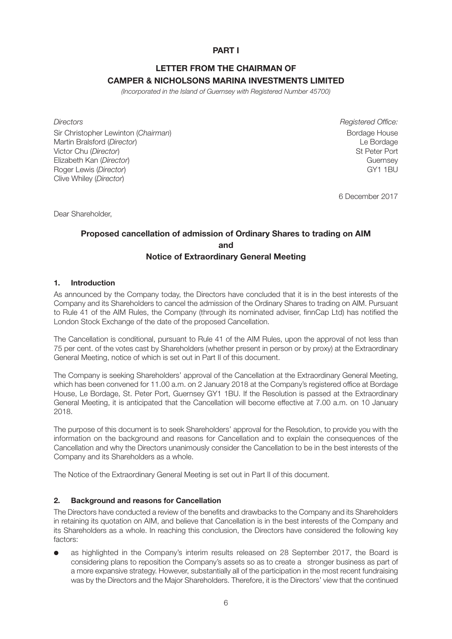### **PART I**

## **LETTER FROM THE CHAIRMAN OF CAMPER & NICHOLSONS MARINA INVESTMENTS LIMITED**

*(Incorporated in the Island of Guernsey with Registered Number 45700)*

Sir Christopher Lewinton (*Chairman*) Bordage House **Bordage House** Bordage House Martin Bralsford (*Director*) Le Bordage Victor Chu (*Director*) St Peter Port Elizabeth Kan (*Director*) Guernsey Roger Lewis (*Director*) **GY1** 1BU Clive Whiley (*Director*)

*Directors Registered Office:*

6 December 2017

Dear Shareholder,

### **Proposed cancellation of admission of Ordinary Shares to trading on AIM and Notice of Extraordinary General Meeting**

#### **1. Introduction**

As announced by the Company today, the Directors have concluded that it is in the best interests of the Company and its Shareholders to cancel the admission of the Ordinary Shares to trading on AIM. Pursuant to Rule 41 of the AIM Rules, the Company (through its nominated adviser, finnCap Ltd) has notified the London Stock Exchange of the date of the proposed Cancellation.

The Cancellation is conditional, pursuant to Rule 41 of the AIM Rules, upon the approval of not less than 75 per cent. of the votes cast by Shareholders (whether present in person or by proxy) at the Extraordinary General Meeting, notice of which is set out in Part II of this document.

The Company is seeking Shareholders' approval of the Cancellation at the Extraordinary General Meeting, which has been convened for 11.00 a.m. on 2 January 2018 at the Company's registered office at Bordage House, Le Bordage, St. Peter Port, Guernsey GY1 1BU. If the Resolution is passed at the Extraordinary General Meeting, it is anticipated that the Cancellation will become effective at 7.00 a.m. on 10 January 2018.

The purpose of this document is to seek Shareholders' approval for the Resolution, to provide you with the information on the background and reasons for Cancellation and to explain the consequences of the Cancellation and why the Directors unanimously consider the Cancellation to be in the best interests of the Company and its Shareholders as a whole.

The Notice of the Extraordinary General Meeting is set out in Part II of this document.

#### **2. Background and reasons for Cancellation**

The Directors have conducted a review of the benefits and drawbacks to the Company and its Shareholders in retaining its quotation on AIM, and believe that Cancellation is in the best interests of the Company and its Shareholders as a whole. In reaching this conclusion, the Directors have considered the following key factors:

as highlighted in the Company's interim results released on 28 September 2017, the Board is considering plans to reposition the Company's assets so as to create a stronger business as part of a more expansive strategy. However, substantially all of the participation in the most recent fundraising was by the Directors and the Major Shareholders. Therefore, it is the Directors' view that the continued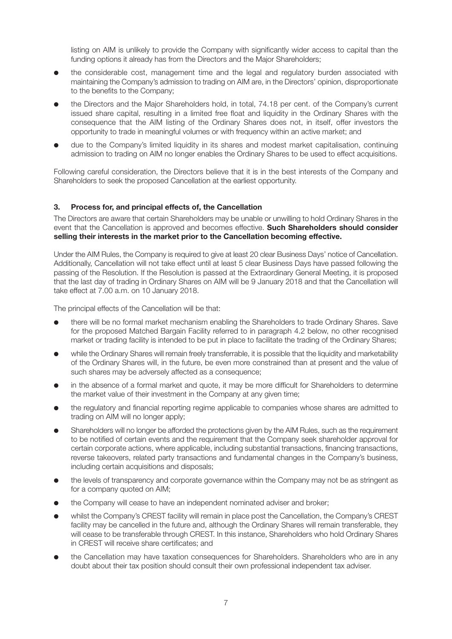listing on AIM is unlikely to provide the Company with significantly wider access to capital than the funding options it already has from the Directors and the Major Shareholders;

- **●** the considerable cost, management time and the legal and regulatory burden associated with maintaining the Company's admission to trading on AIM are, in the Directors' opinion, disproportionate to the benefits to the Company;
- **●** the Directors and the Major Shareholders hold, in total, 74.18 per cent. of the Company's current issued share capital, resulting in a limited free float and liquidity in the Ordinary Shares with the consequence that the AIM listing of the Ordinary Shares does not, in itself, offer investors the opportunity to trade in meaningful volumes or with frequency within an active market; and
- **●** due to the Company's limited liquidity in its shares and modest market capitalisation, continuing admission to trading on AIM no longer enables the Ordinary Shares to be used to effect acquisitions.

Following careful consideration, the Directors believe that it is in the best interests of the Company and Shareholders to seek the proposed Cancellation at the earliest opportunity.

#### **3. Process for, and principal effects of, the Cancellation**

The Directors are aware that certain Shareholders may be unable or unwilling to hold Ordinary Shares in the event that the Cancellation is approved and becomes effective. **Such Shareholders should consider selling their interests in the market prior to the Cancellation becoming effective.**

Under the AIM Rules, the Company is required to give at least 20 clear Business Days' notice of Cancellation. Additionally, Cancellation will not take effect until at least 5 clear Business Days have passed following the passing of the Resolution. If the Resolution is passed at the Extraordinary General Meeting, it is proposed that the last day of trading in Ordinary Shares on AIM will be 9 January 2018 and that the Cancellation will take effect at 7.00 a.m. on 10 January 2018.

The principal effects of the Cancellation will be that:

- **●** there will be no formal market mechanism enabling the Shareholders to trade Ordinary Shares. Save for the proposed Matched Bargain Facility referred to in paragraph 4.2 below, no other recognised market or trading facility is intended to be put in place to facilitate the trading of the Ordinary Shares;
- while the Ordinary Shares will remain freely transferrable, it is possible that the liquidity and marketability of the Ordinary Shares will, in the future, be even more constrained than at present and the value of such shares may be adversely affected as a consequence;
- in the absence of a formal market and quote, it may be more difficult for Shareholders to determine the market value of their investment in the Company at any given time;
- **●** the regulatory and financial reporting regime applicable to companies whose shares are admitted to trading on AIM will no longer apply;
- Shareholders will no longer be afforded the protections given by the AIM Rules, such as the requirement to be notified of certain events and the requirement that the Company seek shareholder approval for certain corporate actions, where applicable, including substantial transactions, financing transactions, reverse takeovers, related party transactions and fundamental changes in the Company's business, including certain acquisitions and disposals;
- **●** the levels of transparency and corporate governance within the Company may not be as stringent as for a company quoted on AIM;
- **●** the Company will cease to have an independent nominated adviser and broker;
- **●** whilst the Company's CREST facility will remain in place post the Cancellation, the Company's CREST facility may be cancelled in the future and, although the Ordinary Shares will remain transferable, they will cease to be transferable through CREST. In this instance, Shareholders who hold Ordinary Shares in CREST will receive share certificates; and
- **●** the Cancellation may have taxation consequences for Shareholders. Shareholders who are in any doubt about their tax position should consult their own professional independent tax adviser.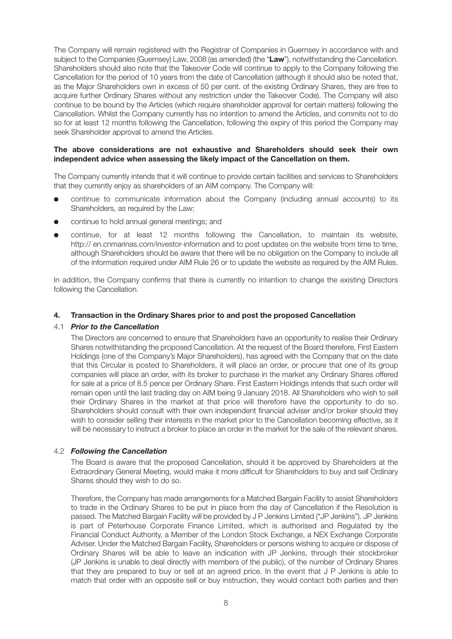The Company will remain registered with the Registrar of Companies in Guernsey in accordance with and subject to the Companies (Guernsey) Law, 2008 (as amended) (the "**Law**"), notwithstanding the Cancellation. Shareholders should also note that the Takeover Code will continue to apply to the Company following the Cancellation for the period of 10 years from the date of Cancellation (although it should also be noted that, as the Major Shareholders own in excess of 50 per cent. of the existing Ordinary Shares, they are free to acquire further Ordinary Shares without any restriction under the Takeover Code). The Company will also continue to be bound by the Articles (which require shareholder approval for certain matters) following the Cancellation. Whilst the Company currently has no intention to amend the Articles, and commits not to do so for at least 12 months following the Cancellation, following the expiry of this period the Company may seek Shareholder approval to amend the Articles.

#### **The above considerations are not exhaustive and Shareholders should seek their own independent advice when assessing the likely impact of the Cancellation on them.**

The Company currently intends that it will continue to provide certain facilities and services to Shareholders that they currently enjoy as shareholders of an AIM company. The Company will:

- **●** continue to communicate information about the Company (including annual accounts) to its Shareholders, as required by the Law;
- **●** continue to hold annual general meetings; and
- **●** continue, for at least 12 months following the Cancellation, to maintain its website, http:// en.cnmarinas.com/investor-information and to post updates on the website from time to time, although Shareholders should be aware that there will be no obligation on the Company to include all of the information required under AIM Rule 26 or to update the website as required by the AIM Rules.

In addition, the Company confirms that there is currently no intention to change the existing Directors following the Cancellation.

#### **4. Transaction in the Ordinary Shares prior to and post the proposed Cancellation**

#### 4.1 *Prior to the Cancellation*

The Directors are concerned to ensure that Shareholders have an opportunity to realise their Ordinary Shares notwithstanding the proposed Cancellation. At the request of the Board therefore, First Eastern Holdings (one of the Company's Major Shareholders), has agreed with the Company that on the date that this Circular is posted to Shareholders, it will place an order, or procure that one of its group companies will place an order, with its broker to purchase in the market any Ordinary Shares offered for sale at a price of 8.5 pence per Ordinary Share. First Eastern Holdings intends that such order will remain open until the last trading day on AIM being 9 January 2018. All Shareholders who wish to sell their Ordinary Shares in the market at that price will therefore have the opportunity to do so. Shareholders should consult with their own independent financial adviser and/or broker should they wish to consider selling their interests in the market prior to the Cancellation becoming effective, as it will be necessary to instruct a broker to place an order in the market for the sale of the relevant shares.

#### 4.2 *Following the Cancellation*

The Board is aware that the proposed Cancellation, should it be approved by Shareholders at the Extraordinary General Meeting, would make it more difficult for Shareholders to buy and sell Ordinary Shares should they wish to do so.

Therefore, the Company has made arrangements for a Matched Bargain Facility to assist Shareholders to trade in the Ordinary Shares to be put in place from the day of Cancellation if the Resolution is passed. The Matched Bargain Facility will be provided by J P Jenkins Limited ("JP Jenkins"). JP Jenkins is part of Peterhouse Corporate Finance Limited, which is authorised and Regulated by the Financial Conduct Authority, a Member of the London Stock Exchange, a NEX Exchange Corporate Adviser. Under the Matched Bargain Facility, Shareholders or persons wishing to acquire or dispose of Ordinary Shares will be able to leave an indication with JP Jenkins, through their stockbroker (JP Jenkins is unable to deal directly with members of the public), of the number of Ordinary Shares that they are prepared to buy or sell at an agreed price. In the event that J P Jenkins is able to match that order with an opposite sell or buy instruction, they would contact both parties and then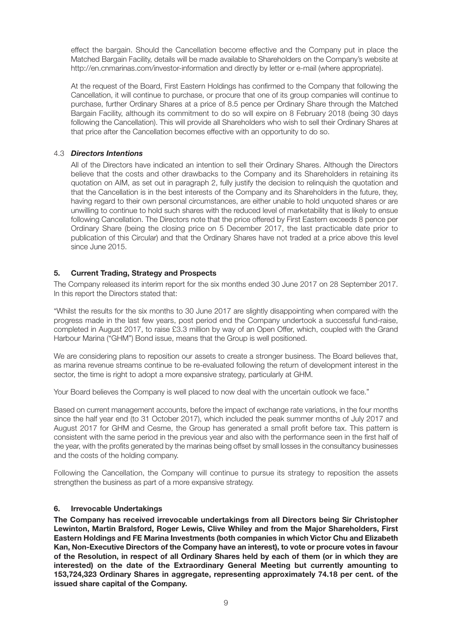effect the bargain. Should the Cancellation become effective and the Company put in place the Matched Bargain Facility, details will be made available to Shareholders on the Company's website at http://en.cnmarinas.com/investor-information and directly by letter or e-mail (where appropriate).

At the request of the Board, First Eastern Holdings has confirmed to the Company that following the Cancellation, it will continue to purchase, or procure that one of its group companies will continue to purchase, further Ordinary Shares at a price of 8.5 pence per Ordinary Share through the Matched Bargain Facility, although its commitment to do so will expire on 8 February 2018 (being 30 days following the Cancellation). This will provide all Shareholders who wish to sell their Ordinary Shares at that price after the Cancellation becomes effective with an opportunity to do so.

#### 4.3 *Directors Intentions*

All of the Directors have indicated an intention to sell their Ordinary Shares. Although the Directors believe that the costs and other drawbacks to the Company and its Shareholders in retaining its quotation on AIM, as set out in paragraph 2, fully justify the decision to relinquish the quotation and that the Cancellation is in the best interests of the Company and its Shareholders in the future, they, having regard to their own personal circumstances, are either unable to hold unquoted shares or are unwilling to continue to hold such shares with the reduced level of marketability that is likely to ensue following Cancellation. The Directors note that the price offered by First Eastern exceeds 8 pence per Ordinary Share (being the closing price on 5 December 2017, the last practicable date prior to publication of this Circular) and that the Ordinary Shares have not traded at a price above this level since June 2015.

#### **5. Current Trading, Strategy and Prospects**

The Company released its interim report for the six months ended 30 June 2017 on 28 September 2017. In this report the Directors stated that:

"Whilst the results for the six months to 30 June 2017 are slightly disappointing when compared with the progress made in the last few years, post period end the Company undertook a successful fund-raise, completed in August 2017, to raise £3.3 million by way of an Open Offer, which, coupled with the Grand Harbour Marina ("GHM") Bond issue, means that the Group is well positioned.

We are considering plans to reposition our assets to create a stronger business. The Board believes that, as marina revenue streams continue to be re-evaluated following the return of development interest in the sector, the time is right to adopt a more expansive strategy, particularly at GHM.

Your Board believes the Company is well placed to now deal with the uncertain outlook we face."

Based on current management accounts, before the impact of exchange rate variations, in the four months since the half year end (to 31 October 2017), which included the peak summer months of July 2017 and August 2017 for GHM and Cesme, the Group has generated a small profit before tax. This pattern is consistent with the same period in the previous year and also with the performance seen in the first half of the year, with the profits generated by the marinas being offset by small losses in the consultancy businesses and the costs of the holding company.

Following the Cancellation, the Company will continue to pursue its strategy to reposition the assets strengthen the business as part of a more expansive strategy.

#### **6. Irrevocable Undertakings**

**The Company has received irrevocable undertakings from all Directors being Sir Christopher Lewinton, Martin Bralsford, Roger Lewis, Clive Whiley and from the Major Shareholders, First Eastern Holdings and FE Marina Investments (both companies in which Victor Chu and Elizabeth Kan, Non-Executive Directors of the Company have an interest), to vote or procure votes in favour** of the Resolution, in respect of all Ordinary Shares held by each of them (or in which they are **interested) on the date of the Extraordinary General Meeting but currently amounting to 153,724,323 Ordinary Shares in aggregate, representing approximately 74.18 per cent. of the issued share capital of the Company.**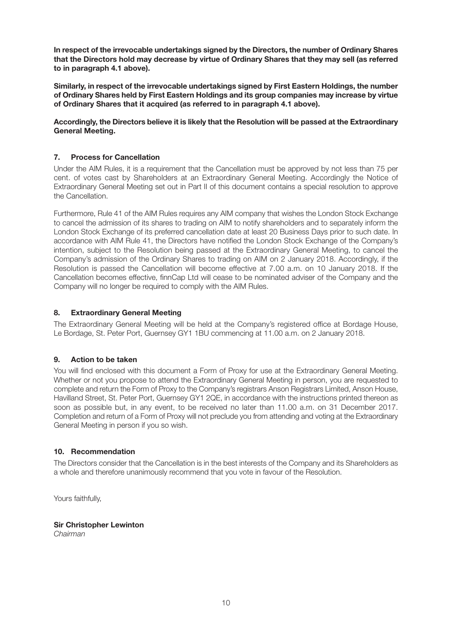**In respect of the irrevocable undertakings signed by the Directors, the number of Ordinary Shares that the Directors hold may decrease by virtue of Ordinary Shares that they may sell (as referred to in paragraph 4.1 above).**

**Similarly, in respect of the irrevocable undertakings signed by First Eastern Holdings, the number of Ordinary Shares held by First Eastern Holdings and its group companies may increase by virtue of Ordinary Shares that it acquired (as referred to in paragraph 4.1 above).**

**Accordingly, the Directors believe it is likely that the Resolution will be passed at the Extraordinary General Meeting.**

#### **7. Process for Cancellation**

Under the AIM Rules, it is a requirement that the Cancellation must be approved by not less than 75 per cent. of votes cast by Shareholders at an Extraordinary General Meeting. Accordingly the Notice of Extraordinary General Meeting set out in Part II of this document contains a special resolution to approve the Cancellation.

Furthermore, Rule 41 of the AIM Rules requires any AIM company that wishes the London Stock Exchange to cancel the admission of its shares to trading on AIM to notify shareholders and to separately inform the London Stock Exchange of its preferred cancellation date at least 20 Business Days prior to such date. In accordance with AIM Rule 41, the Directors have notified the London Stock Exchange of the Company's intention, subject to the Resolution being passed at the Extraordinary General Meeting, to cancel the Company's admission of the Ordinary Shares to trading on AIM on 2 January 2018. Accordingly, if the Resolution is passed the Cancellation will become effective at 7.00 a.m. on 10 January 2018. If the Cancellation becomes effective, finnCap Ltd will cease to be nominated adviser of the Company and the Company will no longer be required to comply with the AIM Rules.

#### **8. Extraordinary General Meeting**

The Extraordinary General Meeting will be held at the Company's registered office at Bordage House, Le Bordage, St. Peter Port, Guernsey GY1 1BU commencing at 11.00 a.m. on 2 January 2018.

#### **9. Action to be taken**

You will find enclosed with this document a Form of Proxy for use at the Extraordinary General Meeting. Whether or not you propose to attend the Extraordinary General Meeting in person, you are requested to complete and return the Form of Proxy to the Company's registrars Anson Registrars Limited, Anson House, Havilland Street, St. Peter Port, Guernsey GY1 2QE, in accordance with the instructions printed thereon as soon as possible but, in any event, to be received no later than 11.00 a.m. on 31 December 2017. Completion and return of a Form of Proxy will not preclude you from attending and voting at the Extraordinary General Meeting in person if you so wish.

#### **10. Recommendation**

The Directors consider that the Cancellation is in the best interests of the Company and its Shareholders as a whole and therefore unanimously recommend that you vote in favour of the Resolution.

Yours faithfully,

**Sir Christopher Lewinton** *Chairman*